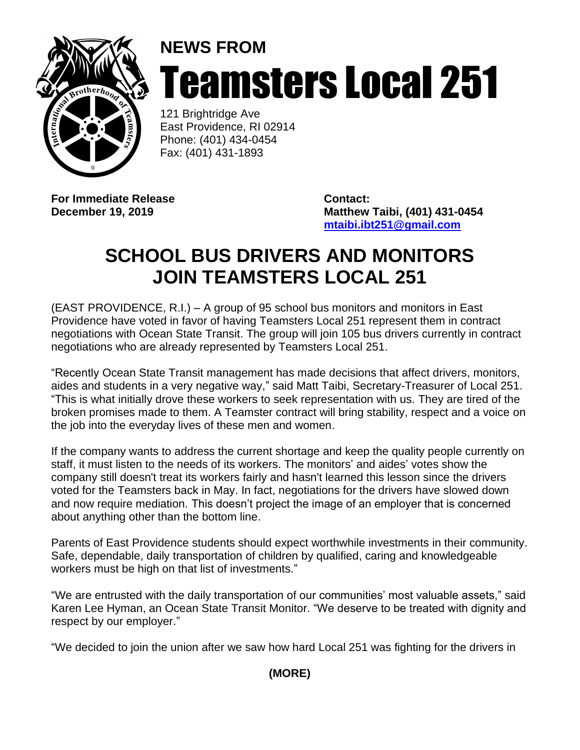

## **NEWS FROM** Teamsters Local 251

121 Brightridge Ave East Providence, RI 02914 Phone: (401) 434-0454 Fax: (401) 431-1893

**For Immediate Release <b>Contact:** 

**December 19, 2019 Matthew Taibi, (401) 431-0454 [mtaibi.ibt251@gmail.com](mailto:mtaibi.ibt251@gmail.com)**

## **SCHOOL BUS DRIVERS AND MONITORS JOIN TEAMSTERS LOCAL 251**

(EAST PROVIDENCE, R.I.) – A group of 95 school bus monitors and monitors in East Providence have voted in favor of having Teamsters Local 251 represent them in contract negotiations with Ocean State Transit. The group will join 105 bus drivers currently in contract negotiations who are already represented by Teamsters Local 251.

"Recently Ocean State Transit management has made decisions that affect drivers, monitors, aides and students in a very negative way," said Matt Taibi, Secretary-Treasurer of Local 251. "This is what initially drove these workers to seek representation with us. They are tired of the broken promises made to them. A Teamster contract will bring stability, respect and a voice on the job into the everyday lives of these men and women.

If the company wants to address the current shortage and keep the quality people currently on staff, it must listen to the needs of its workers. The monitors' and aides' votes show the company still doesn't treat its workers fairly and hasn't learned this lesson since the drivers voted for the Teamsters back in May. In fact, negotiations for the drivers have slowed down and now require mediation. This doesn't project the image of an employer that is concerned about anything other than the bottom line.

Parents of East Providence students should expect worthwhile investments in their community. Safe, dependable, daily transportation of children by qualified, caring and knowledgeable workers must be high on that list of investments."

"We are entrusted with the daily transportation of our communities' most valuable assets," said Karen Lee Hyman, an Ocean State Transit Monitor. "We deserve to be treated with dignity and respect by our employer."

"We decided to join the union after we saw how hard Local 251 was fighting for the drivers in

**(MORE)**